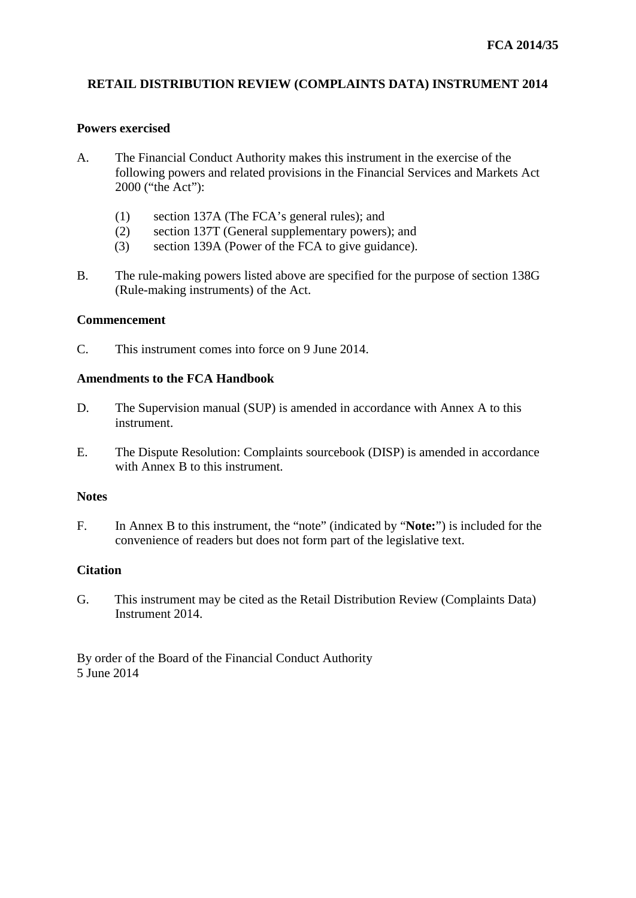# **RETAIL DISTRIBUTION REVIEW (COMPLAINTS DATA) INSTRUMENT 2014**

### **Powers exercised**

- A. The Financial Conduct Authority makes this instrument in the exercise of the following powers and related provisions in the Financial Services and Markets Act 2000 ("the Act"):
	- (1) section 137A (The FCA's general rules); and
	- (2) section 137T (General supplementary powers); and
	- (3) section 139A (Power of the FCA to give guidance).
- B. The rule-making powers listed above are specified for the purpose of section 138G (Rule-making instruments) of the Act.

#### **Commencement**

C. This instrument comes into force on 9 June 2014.

# **Amendments to the FCA Handbook**

- D. The Supervision manual (SUP) is amended in accordance with Annex A to this instrument.
- E. The Dispute Resolution: Complaints sourcebook (DISP) is amended in accordance with Annex B to this instrument.

#### **Notes**

F. In Annex B to this instrument, the "note" (indicated by "**Note:**") is included for the convenience of readers but does not form part of the legislative text.

#### **Citation**

G. This instrument may be cited as the Retail Distribution Review (Complaints Data) Instrument 2014.

By order of the Board of the Financial Conduct Authority 5 June 2014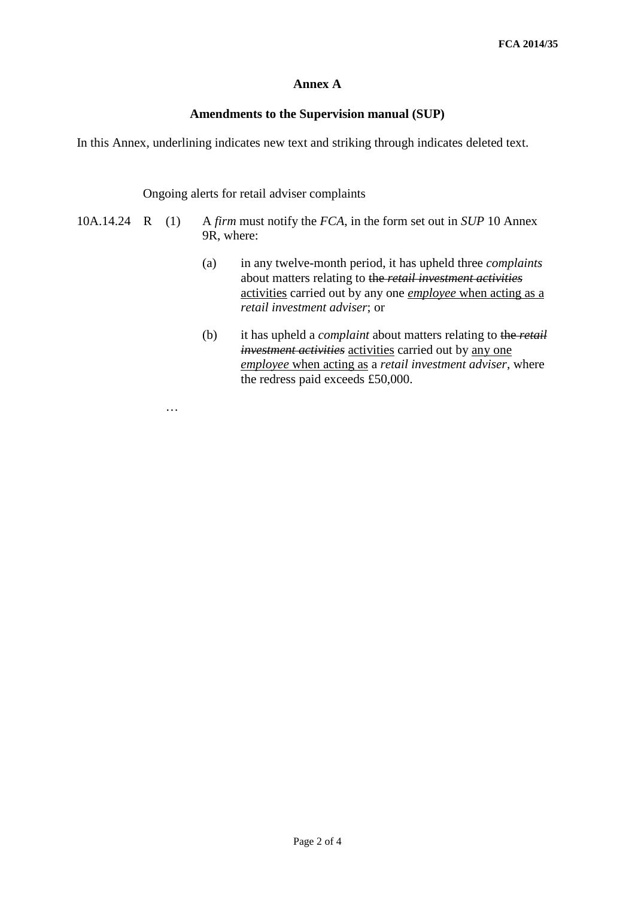# **Annex A**

## **Amendments to the Supervision manual (SUP)**

In this Annex, underlining indicates new text and striking through indicates deleted text.

### Ongoing alerts for retail adviser complaints

- 10A.14.24 R (1) A *firm* must notify the *FCA*, in the form set out in *SUP* 10 Annex 9R, where:
	- (a) in any twelve-month period, it has upheld three *complaints*  about matters relating to the *retail investment activities* activities carried out by any one *employee* when acting as a *retail investment adviser*; or
	- (b) it has upheld a *complaint* about matters relating to the *retail investment activities* activities carried out by any one *employee* when acting as a *retail investment adviser*, where the redress paid exceeds £50,000.

…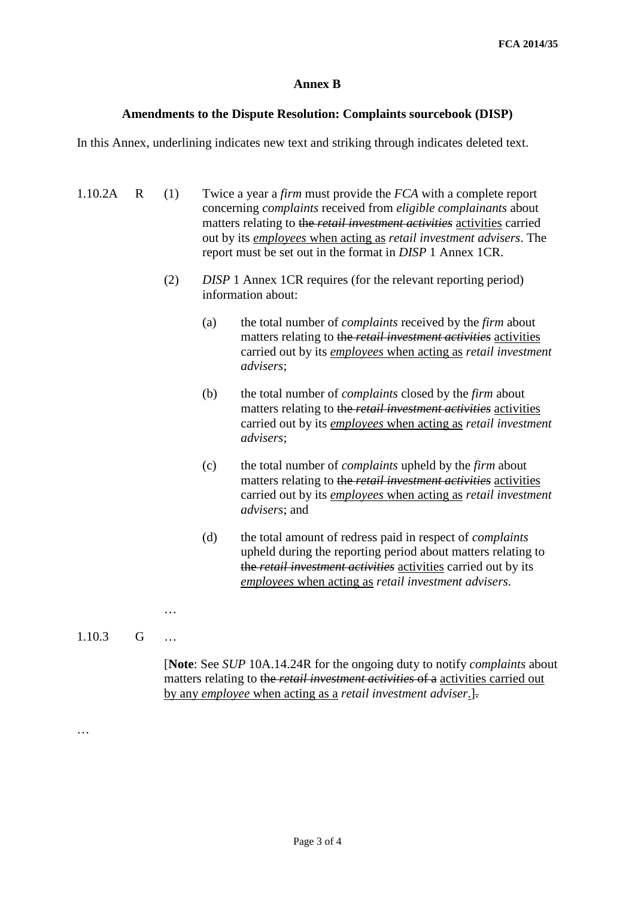## **Annex B**

#### **Amendments to the Dispute Resolution: Complaints sourcebook (DISP)**

In this Annex, underlining indicates new text and striking through indicates deleted text.

- 1.10.2A R (1) Twice a year a *firm* must provide the *FCA* with a complete report concerning *complaints* received from *eligible complainants* about matters relating to the *retail investment activities* activities carried out by its *employees* when acting as *retail investment advisers*. The report must be set out in the format in *DISP* 1 Annex 1CR. (2) *DISP* 1 Annex 1CR requires (for the relevant reporting period) information about: (a) the total number of *complaints* received by the *firm* about
	- matters relating to the *retail investment activities* activities carried out by its *employees* when acting as *retail investment advisers*;
	- (b) the total number of *complaints* closed by the *firm* about matters relating to the *retail investment activities* activities carried out by its *employees* when acting as *retail investment advisers*;
	- (c) the total number of *complaints* upheld by the *firm* about matters relating to the *retail investment activities* activities carried out by its *employees* when acting as *retail investment advisers*; and
	- (d) the total amount of redress paid in respect of *complaints* upheld during the reporting period about matters relating to the *retail investment activities* activities carried out by its *employees* when acting as *retail investment advisers*.

1.10.3 G …

…

…

[**Note**: See *SUP* 10A.14.24R for the ongoing duty to notify *complaints* about matters relating to the *retail investment activities* of a activities carried out by any *employee* when acting as a *retail investment adviser*.].

Page 3 of 4